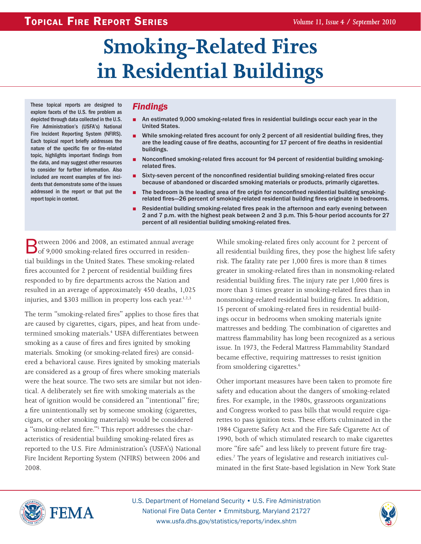# **Smoking-Related Fires in Residential Buildings**

These topical reports are designed to explore facets of the U.S. fire problem as depicted through data collected in the U.S. Fire Administration's (USFA's) National Fire Incident Reporting System (NFIRS). Each topical report briefly addresses the nature of the specific fire or fire-related topic, highlights important findings from the data, and may suggest other resources to consider for further information. Also included are recent examples of fire incidents that demonstrate some of the issues addressed in the report or that put the report topic in context.

# *Findings*

- An estimated 9,000 smoking-related fires in residential buildings occur each year in the United States.
- **•** While smoking-related fires account for only 2 percent of all residential building fires, they are the leading cause of fire deaths, accounting for 17 percent of fire deaths in residential buildings.
- **•** Nonconfined smoking-related fires account for 94 percent of residential building smokingrelated fires.
- **B** Sixty-seven percent of the nonconfined residential building smoking-related fires occur because of abandoned or discarded smoking materials or products, primarily cigarettes.
- The bedroom is the leading area of fire origin for nonconfined residential building smokingrelated fires-26 percent of smoking-related residential building fires originate in bedrooms.
- **B** Residential building smoking-related fires peak in the afternoon and early evening between 2 and 7 p.m. with the highest peak between 2 and 3 p.m. This 5-hour period accounts for 27 percent of all residential building smoking-related fires.

Between 2006 and 2008, an estimated annual average<br>
of 9,000 smoking-related fires occurred in residential buildings in the United States. These smoking-related fires accounted for 2 percent of residential building fires responded to by fire departments across the Nation and resulted in an average of approximately 450 deaths, 1,025 injuries, and \$303 million in property loss each year.<sup>1,2,3</sup>

The term "smoking-related fires" applies to those fires that are caused by cigarettes, cigars, pipes, and heat from undetermined smoking materials.<sup>4</sup> USFA differentiates between smoking as a cause of fires and fires ignited by smoking materials. Smoking (or smoking-related fires) are considered a behavioral cause. Fires ignited by smoking materials are considered as a group of fires where smoking materials were the heat source. The two sets are similar but not identical. A deliberately set fire with smoking materials as the heat of ignition would be considered an "intentional" fire; a fire unintentionally set by someone smoking (cigarettes, cigars, or other smoking materials) would be considered a "smoking-related fire."<sup>5</sup> This report addresses the characteristics of residential building smoking-related fires as reported to the U.S. Fire Administration's (USFA's) National Fire Incident Reporting System (NFIRS) between 2006 and 2008.

While smoking-related fires only account for 2 percent of all residential building fires, they pose the highest life safety risk. The fatality rate per 1,000 fires is more than 8 times greater in smoking-related fires than in nonsmoking-related residential building fires. The injury rate per 1,000 fires is more than 3 times greater in smoking-related fires than in nonsmoking-related residential building fires. In addition, 15 percent of smoking-related fires in residential buildings occur in bedrooms when smoking materials ignite mattresses and bedding. The combination of cigarettes and mattress flammability has long been recognized as a serious issue. In 1973, the Federal Mattress Flammability Standard became effective, requiring mattresses to resist ignition from smoldering cigarettes.<sup>6</sup>

Other important measures have been taken to promote fire safety and education about the dangers of smoking-related fires. For example, in the 1980s, grassroots organizations and Congress worked to pass bills that would require cigarettes to pass ignition tests. These efforts culminated in the 1984 Cigarette Safety Act and the Fire Safe Cigarette Act of 1990, both of which stimulated research to make cigarettes more "fire safe" and less likely to prevent future fire tragedies.7 The years of legislative and research initiatives culminated in the first State-based legislation in New York State



U.S. Department of Homeland Security . U.S. Fire Administration National Fire Data Center • Emmitsburg, Maryland 21727 www.usfa.dhs.gov/statistics/reports/index.shtm

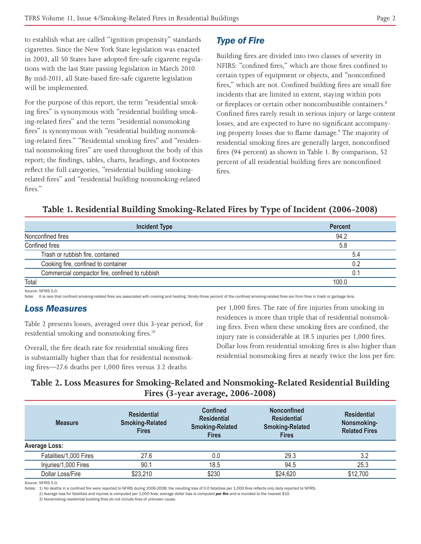to establish what are called "ignition propensity" standards cigarettes. Since the New York State legislation was enacted in 2003, all 50 States have adopted fire-safe cigarette regulations with the last State passing legislation in March 2010. By mid-2011, all State-based fire-safe cigarette legislation will be implemented.

For the purpose of this report, the term "residential smoking fires" is synonymous with "residential building smoking-related fires" and the term "residential nonsmoking fires" is synonymous with "residential building nonsmoking-related fires." "Residential smoking fires" and "residential nonsmoking fires" are used throughout the body of this report; the findings, tables, charts, headings, and footnotes reflect the full categories, "residential building smokingrelated fires" and "residential building nonsmoking-related fires."

# *Type of Fire*

Building fires are divided into two classes of severity in NFIRS: "confined fires," which are those fires confined to certain types of equipment or objects, and "nonconfined fires," which are not. Confined building fires are small fire incidents that are limited in extent, staying within pots or fireplaces or certain other noncombustible containers.<sup>8</sup> Confined fires rarely result in serious injury or large content losses, and are expected to have no significant accompanying property losses due to flame damage.<sup>9</sup> The majority of residential smoking fires are generally larger, nonconfined fires (94 percent) as shown in Table 1. By comparison, 52 percent of all residential building fires are nonconfined fires.

# **Table 1. Residential Building Smoking-Related Fires by Type of Incident (2006-2008)**

| <b>Incident Type</b>                           | <b>Percent</b> |  |
|------------------------------------------------|----------------|--|
| Nonconfined fires                              | 94.2           |  |
| Confined fires                                 | 5.8            |  |
| Trash or rubbish fire, contained               | 5.4            |  |
| Cooking fire, confined to container<br>0.2     |                |  |
| Commercial compactor fire, confined to rubbish | 0.1            |  |
| Total                                          | 100 በ          |  |

Source: NFIRS 5.0.

Note: It is rare that confined smoking-related fires are associated with cooking and heating. Ninety-three percent of the confined smoking-related fires are from fires in trash or garbage bins.

# *Loss Measures*

Table 2 presents losses, averaged over this 3-year period, for residential smoking and nonsmoking fires.10

Overall, the fire death rate for residential smoking fires is substantially higher than that for residential nonsmoking fires—27.6 deaths per 1,000 fires versus 3.2 deaths

per 1,000 fires. The rate of fire injuries from smoking in residences is more than triple that of residential nonsmoking fires. Even when these smoking fires are confined, the injury rate is considerable at 18.5 injuries per 1,000 fires. Dollar loss from residential smoking fires is also higher than residential nonsmoking fires at nearly twice the loss per fire.

# **Table 2. Loss Measures for Smoking-Related and Nonsmoking-Related Residential Building Fires (3-year average, 2006-2008)**

| <b>Measure</b>         | <b>Residential</b><br><b>Smoking-Related</b><br><b>Fires</b> | <b>Confined</b><br><b>Residential</b><br><b>Smoking-Related</b><br><b>Fires</b> | <b>Nonconfined</b><br><b>Residential</b><br><b>Smoking-Related</b><br><b>Fires</b> | <b>Residential</b><br>Nonsmoking-<br><b>Related Fires</b> |
|------------------------|--------------------------------------------------------------|---------------------------------------------------------------------------------|------------------------------------------------------------------------------------|-----------------------------------------------------------|
| <b>Average Loss:</b>   |                                                              |                                                                                 |                                                                                    |                                                           |
| Fatalities/1,000 Fires | 27.6                                                         | 0.0                                                                             | 29.3                                                                               | 3.2                                                       |
| Injuries/1,000 Fires   | 90.1                                                         | 18.5                                                                            | 94.5                                                                               | 25.3                                                      |
| Dollar Loss/Fire       | \$23,210                                                     | \$230                                                                           | \$24,620                                                                           | \$12,700                                                  |

Source: NEIRS 5.0

Notes: 1) No deaths in a confined fire were reported to NFIRS during 2006-2008; the resulting loss of 0.0 fatalities per 1,000 fires reflects only data reported to NFIRS.

2) Average loss for fatalities and injuries is computed per 1,000 fires: average dollar loss is computed **per fire** and is rounded to the nearest \$10.

3) Nonsmoking residential building fires do not include fires of unknown cause.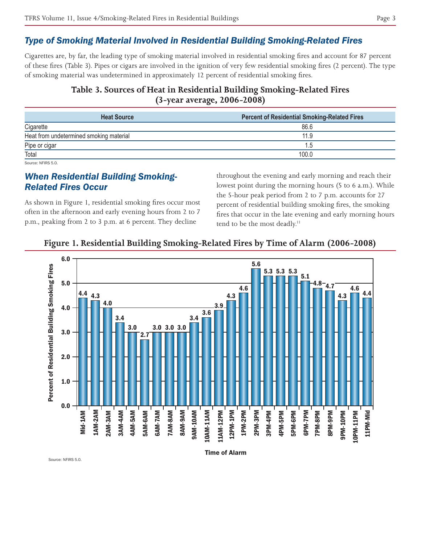## *Type of Smoking Material Involved in Residential Building Smoking-Related Fires*

Cigarettes are, by far, the leading type of smoking material involved in residential smoking fires and account for 87 percent of these fires (Table 3). Pipes or cigars are involved in the ignition of very few residential smoking fires (2 percent). The type of smoking material was undetermined in approximately 12 percent of residential smoking fires.

# **Table 3. Sources of Heat in Residential Building Smoking-Related Fires (3-year average, 2006-2008)**

| <b>Heat Source</b>                      | <b>Percent of Residential Smoking-Related Fires</b> |
|-----------------------------------------|-----------------------------------------------------|
| Cigarette                               | 86.6                                                |
| Heat from undetermined smoking material | 11.9                                                |
| Pipe or cigar                           | 1.5                                                 |
| Total                                   | 100.0                                               |

Source: NFIRS 5.0.

# *When Residential Building Smoking-Related Fires Occur*

As shown in Figure 1, residential smoking fires occur most often in the afternoon and early evening hours from 2 to 7 p.m., peaking from 2 to 3 p.m. at 6 percent. They decline

throughout the evening and early morning and reach their lowest point during the morning hours (5 to 6 a.m.). While the 5-hour peak period from 2 to 7 p.m. accounts for 27 percent of residential building smoking fires, the smoking fires that occur in the late evening and early morning hours tend to be the most deadly.<sup>11</sup>

#### **Figure 1. Residential Building Smoking-Related Fires by Time of Alarm (2006-2008)**



Source: NEIRS 5.0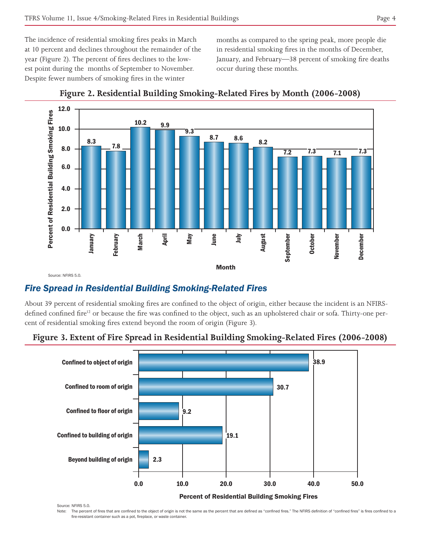The incidence of residential smoking fires peaks in March at 10 percent and declines throughout the remainder of the year (Figure 2). The percent of fires declines to the lowest point during the months of September to November. Despite fewer numbers of smoking fires in the winter

months as compared to the spring peak, more people die in residential smoking fires in the months of December, January, and February—38 percent of smoking fire deaths occur during these months.



**Figure 2. Residential Building Smoking-Related Fires by Month (2006-2008)**

# *Fire Spread in Residential Building Smoking-Related Fires*

About 39 percent of residential smoking fires are confined to the object of origin, either because the incident is an NFIRSdefined confined fire<sup>12</sup> or because the fire was confined to the object, such as an upholstered chair or sofa. Thirty-one percent of residential smoking fires extend beyond the room of origin (Figure 3).



# **Figure 3. Extent of Fire Spread in Residential Building Smoking-Related Fires (2006-2008)**

Source: NFIRS 5.0.

Note: The percent of fires that are confined to the object of origin is not the same as the percent that are defined as "confined fires." The NFIRS definition of "confined fires" is fires confined to a fire-resistant container such as a pot, fireplace, or waste container.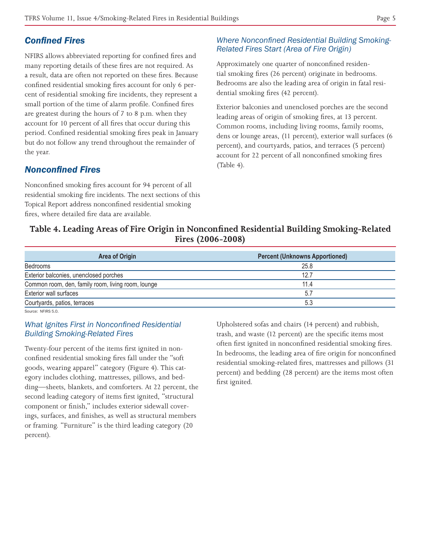# **Confined Fires**

NFIRS allows abbreviated reporting for confined fires and many reporting details of these fires are not required. As a result, data are often not reported on these fires. Because confined residential smoking fires account for only 6 percent of residential smoking fire incidents, they represent a small portion of the time of alarm profile. Confined fires are greatest during the hours of 7 to 8 p.m. when they account for 10 percent of all fires that occur during this period. Confined residential smoking fires peak in January but do not follow any trend throughout the remainder of the year.

# *Nonconfined Fires*

Nonconfined smoking fires account for 94 percent of all residential smoking fire incidents. The next sections of this Topical Report address nonconfined residential smoking fires, where detailed fire data are available.

## **Where Nonconfined Residential Building Smoking-Related Fires Start (Area of Fire Origin)**

Approximately one quarter of nonconfined residential smoking fires (26 percent) originate in bedrooms. Bedrooms are also the leading area of origin in fatal residential smoking fires (42 percent).

Exterior balconies and unenclosed porches are the second leading areas of origin of smoking fires, at 13 percent. Common rooms, including living rooms, family rooms, dens or lounge areas, (11 percent), exterior wall surfaces (6 percent), and courtyards, patios, and terraces (5 percent) account for 22 percent of all nonconfined smoking fires (Table 4).

# Table 4. Leading Areas of Fire Origin in Nonconfined Residential Building Smoking-Related **Fires (2006-2008)**

| <b>Area of Origin</b>                              | <b>Percent (Unknowns Apportioned)</b> |
|----------------------------------------------------|---------------------------------------|
| Bedrooms                                           | 25.8                                  |
| Exterior balconies, unenclosed porches             | 12.7                                  |
| Common room, den, family room, living room, lounge | 11.4                                  |
| Exterior wall surfaces                             | 57                                    |
| Courtyards, patios, terraces                       | 5.3                                   |

Source: NFIRS 5.0

#### *What Ignites First in Nonconfined Residential* **Building Smoking-Related Fires**

Twenty-four percent of the items first ignited in nonconfined residential smoking fires fall under the "soft goods, wearing apparel" category (Figure 4). This category includes clothing, mattresses, pillows, and bedding—sheets, blankets, and comforters. At 22 percent, the second leading category of items first ignited, "structural component or finish," includes exterior sidewall coverings, surfaces, and finishes, as well as structural members or framing. "Furniture" is the third leading category (20 percent).

Upholstered sofas and chairs (14 percent) and rubbish, trash, and waste (12 percent) are the specific items most often first ignited in nonconfined residential smoking fires. In bedrooms, the leading area of fire origin for nonconfined residential smoking-related fires, mattresses and pillows (31 percent) and bedding (28 percent) are the items most often first ignited.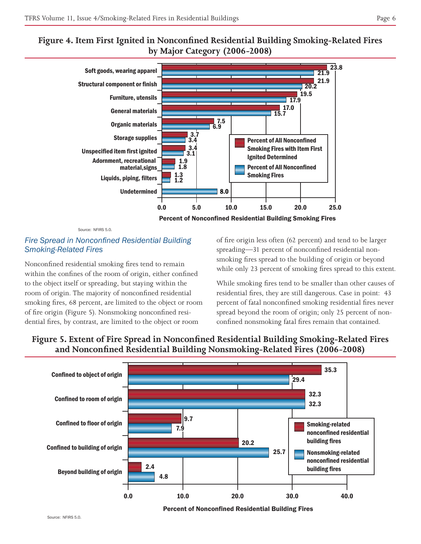# **Figure 4. Item First Ignited in Nonconfined Residential Building Smoking-Related Fires by Major Category (2006-2008)**



Source: NFIRS 5.0.

#### **Fire Spread in Nonconfined Residential Building** *Smoking-Related Fires*

Nonconfined residential smoking fires tend to remain within the confines of the room of origin, either confined to the object itself or spreading, but staying within the room of origin. The majority of nonconfined residential smoking fires, 68 percent, are limited to the object or room of fire origin (Figure 5). Nonsmoking nonconfined residential fires, by contrast, are limited to the object or room

of fire origin less often (62 percent) and tend to be larger spreading—31 percent of nonconfined residential nonsmoking fires spread to the building of origin or beyond while only 23 percent of smoking fires spread to this extent.

While smoking fires tend to be smaller than other causes of residential fires, they are still dangerous. Case in point: 43 percent of fatal nonconfined smoking residential fires never spread beyond the room of origin; only 25 percent of nonconfined nonsmoking fatal fires remain that contained.



# **Figure 5. Extent of Fire Spread in Nonconfined Residential Building Smoking-Related Fires** and Nonconfined Residential Building Nonsmoking-Related Fires (2006-2008)

Percent of Nonconfined Residential Building Fires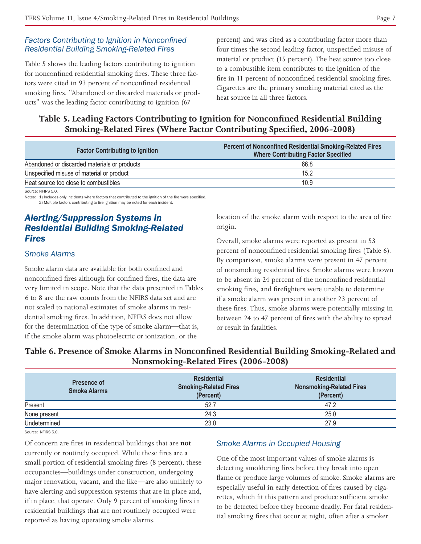#### **Factors Contributing to Ignition in Nonconfined Residential Building Smoking-Related Fires**

Table 5 shows the leading factors contributing to ignition for nonconfined residential smoking fires. These three factors were cited in 93 percent of nonconfined residential smoking fires. "Abandoned or discarded materials or products" was the leading factor contributing to ignition (67

percent) and was cited as a contributing factor more than four times the second leading factor, unspecified misuse of material or product (15 percent). The heat source too close to a combustible item contributes to the ignition of the fire in 11 percent of nonconfined residential smoking fires. Cigarettes are the primary smoking material cited as the heat source in all three factors.

**Table 5. Leading Factors Contributing to Ignition for Nonconfined Residential Building Smoking-Related Fires (Where Factor Contributing Specified, 2006-2008)** 

| <b>Factor Contributing to Ignition</b>       | <b>Percent of Nonconfined Residential Smoking-Related Fires</b><br><b>Where Contributing Factor Specified</b> |
|----------------------------------------------|---------------------------------------------------------------------------------------------------------------|
| Abandoned or discarded materials or products | 66.8                                                                                                          |
| Unspecified misuse of material or product    | 15.2                                                                                                          |
| Heat source too close to combustibles        | 10.9                                                                                                          |

Source: NFIRS 5.0.

Notes: 1) Includes only incidents where factors that contributed to the ignition of the fire were specified. 2) Multiple factors contributing to fire ignition may be noted for each incident.

# *Alerting/Suppression Systems in Residential Building Smoking-Related Fires*

#### *Smoke Alarms*

Smoke alarm data are available for both confined and nonconfined fires although for confined fires, the data are very limited in scope. Note that the data presented in Tables 6 to 8 are the raw counts from the NFIRS data set and are not scaled to national estimates of smoke alarms in residential smoking fires. In addition, NFIRS does not allow for the determination of the type of smoke alarm—that is, if the smoke alarm was photoelectric or ionization, or the

location of the smoke alarm with respect to the area of fire origin.

Overall, smoke alarms were reported as present in 53 percent of nonconfined residential smoking fires (Table 6). By comparison, smoke alarms were present in 47 percent of nonsmoking residential fires. Smoke alarms were known to be absent in 24 percent of the nonconfined residential smoking fires, and firefighters were unable to determine if a smoke alarm was present in another 23 percent of these fires. Thus, smoke alarms were potentially missing in between 24 to 47 percent of fires with the ability to spread or result in fatalities.

Table 6. Presence of Smoke Alarms in Nonconfined Residential Building Smoking-Related and **Nonsmoking-Related Fires (2006-2008)**

| Presence of<br><b>Smoke Alarms</b> | <b>Residential</b><br><b>Smoking-Related Fires</b><br>(Percent) | <b>Residential</b><br><b>Nonsmoking-Related Fires</b><br>(Percent) |
|------------------------------------|-----------------------------------------------------------------|--------------------------------------------------------------------|
| Present                            | 52.7                                                            | 47.2                                                               |
| None present                       | 24.3                                                            | 25.0                                                               |
| Undetermined                       | 23.0                                                            | 27.9                                                               |

Source: NFIRS 5.0.

Of concern are fires in residential buildings that are **not** currently or routinely occupied. While these fires are a small portion of residential smoking fires (8 percent), these occupancies—buildings under construction, undergoing major renovation, vacant, and the like—are also unlikely to have alerting and suppression systems that are in place and, if in place, that operate. Only 9 percent of smoking fires in residential buildings that are not routinely occupied were reported as having operating smoke alarms.

#### *Smoke Alarms in Occupied Housing*

One of the most important values of smoke alarms is detecting smoldering fires before they break into open flame or produce large volumes of smoke. Smoke alarms are especially useful in early detection of fires caused by cigarettes, which fit this pattern and produce sufficient smoke to be detected before they become deadly. For fatal residential smoking fires that occur at night, often after a smoker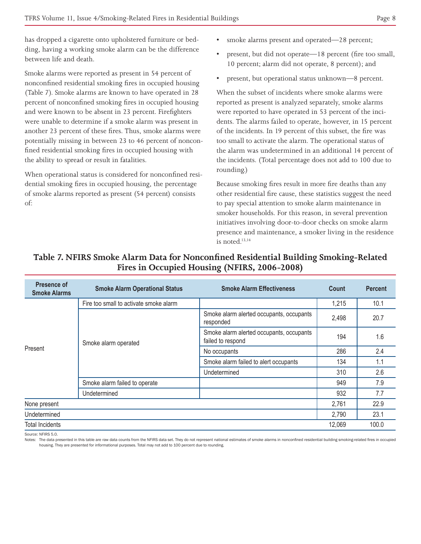has dropped a cigarette onto upholstered furniture or bedding, having a working smoke alarm can be the difference between life and death.

Smoke alarms were reported as present in 54 percent of nonconfined residential smoking fires in occupied housing (Table 7). Smoke alarms are known to have operated in 28 percent of nonconfined smoking fires in occupied housing and were known to be absent in 23 percent. Firefighters were unable to determine if a smoke alarm was present in another 23 percent of these fires. Thus, smoke alarms were potentially missing in between 23 to 46 percent of nonconfined residential smoking fires in occupied housing with the ability to spread or result in fatalities.

When operational status is considered for nonconfined residential smoking fires in occupied housing, the percentage of smoke alarms reported as present (54 percent) consists of:

- smoke alarms present and operated—28 percent;
- present, but did not operate—18 percent (fire too small, 10 percent; alarm did not operate, 8 percent); and
- present, but operational status unknown—8 percent.

When the subset of incidents where smoke alarms were reported as present is analyzed separately, smoke alarms were reported to have operated in 53 percent of the incidents. The alarms failed to operate, however, in 15 percent of the incidents. In 19 percent of this subset, the fire was too small to activate the alarm. The operational status of the alarm was undetermined in an additional 14 percent of the incidents. (Total percentage does not add to 100 due to rounding.)

Because smoking fires result in more fire deaths than any other residential fire cause, these statistics suggest the need to pay special attention to smoke alarm maintenance in smoker households. For this reason, in several prevention initiatives involving door-to-door checks on smoke alarm presence and maintenance, a smoker living in the residence is noted.13,14

| Presence of<br><b>Smoke Alarms</b> | <b>Smoke Alarm Operational Status</b>  | <b>Smoke Alarm Effectiveness</b>                              | Count  | <b>Percent</b> |
|------------------------------------|----------------------------------------|---------------------------------------------------------------|--------|----------------|
|                                    | Fire too small to activate smoke alarm |                                                               | 1,215  | 10.1           |
| Present                            | Smoke alarm operated                   | Smoke alarm alerted occupants, occupants<br>responded         | 2,498  | 20.7           |
|                                    |                                        | Smoke alarm alerted occupants, occupants<br>failed to respond | 194    | 1.6            |
|                                    |                                        | No occupants                                                  | 286    | 2.4            |
|                                    |                                        | Smoke alarm failed to alert occupants                         | 134    | 1.1            |
|                                    |                                        | Undetermined                                                  | 310    | 2.6            |
|                                    | Smoke alarm failed to operate          |                                                               | 949    | 7.9            |
|                                    | Undetermined                           |                                                               | 932    | 7.7            |
| None present                       |                                        | 2,761                                                         | 22.9   |                |
| Undetermined                       |                                        | 2,790                                                         | 23.1   |                |
| <b>Total Incidents</b>             |                                        |                                                               | 12,069 | 100.0          |

# Table 7. NFIRS Smoke Alarm Data for Nonconfined Residential Building Smoking-Related **Fires in Occupied Housing (NFIRS, 2006-2008)**

Source: NEIRS 5.0

Notes: The data presented in this table are raw data counts from the NFIRS data set. They do not represent national estimates of smoke alarms in nonconfined residential building smoking-related fires in occupied housing. They are presented for informational purposes. Total may not add to 100 percent due to rounding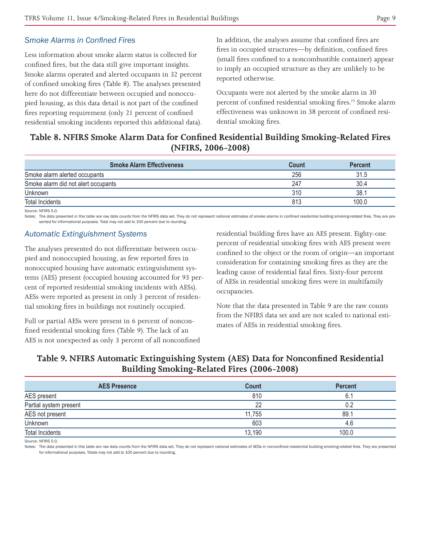#### *Smoke Alarms in Confined Fires*

Less information about smoke alarm status is collected for confined fires, but the data still give important insights. Smoke alarms operated and alerted occupants in 32 percent of confined smoking fires (Table 8). The analyses presented here do not differentiate between occupied and nonoccupied housing, as this data detail is not part of the confined fires reporting requirement (only 21 percent of confined residential smoking incidents reported this additional data). In addition, the analyses assume that confined fires are fires in occupied structures—by definition, confined fires (small fires confined to a noncombustible container) appear to imply an occupied structure as they are unlikely to be reported otherwise.

Occupants were not alerted by the smoke alarm in 30 percent of confined residential smoking fires.15 Smoke alarm effectiveness was unknown in 38 percent of confined residential smoking fires.

# **Table 8. NFIRS Smoke Alarm Data for Confined Residential Building Smoking-Related Fires (NFIRS, 2006-2008)**

| <b>Smoke Alarm Effectiveness</b>    | Count | <b>Percent</b> |
|-------------------------------------|-------|----------------|
| Smoke alarm alerted occupants       | 256   | 31.5           |
| Smoke alarm did not alert occupants | 247   | 30.4           |
| Unknown                             | 310   | 38.1           |
| Total Incidents                     | 813   | 00.0           |

Source: NFIRS 5.0.

Notes: The data presented in this table are raw data counts from the NFIRS data set. They do not represent national estimates of smoke alarms in confined residential building smoking-related fires. They are presented for informational purposes. Total may not add to 100 percent due to rounding

#### **Automatic Extinguishment Systems**

The analyses presented do not differentiate between occupied and nonoccupied housing, as few reported fires in nonoccupied housing have automatic extinguishment systems (AES) present (occupied housing accounted for 93 percent of reported residential smoking incidents with AESs). AESs were reported as present in only 3 percent of residential smoking fires in buildings not routinely occupied.

Full or partial AESs were present in 6 percent of nonconfined residential smoking fires (Table 9). The lack of an AES is not unexpected as only 3 percent of all nonconfined residential building fires have an AES present. Eighty-one percent of residential smoking fires with AES present were confined to the object or the room of origin—an important consideration for containing smoking fires as they are the leading cause of residential fatal fires. Sixty-four percent of AESs in residential smoking fires were in multifamily occupancies.

Note that the data presented in Table 9 are the raw counts from the NFIRS data set and are not scaled to national estimates of AESs in residential smoking fires.

## **Table 9. NFIRS Automatic Extinguishing System (AES) Data for Nonconfined Residential Building Smoking-Related Fires (2006-2008)**

| <b>AES Presence</b>    | Count  | <b>Percent</b> |
|------------------------|--------|----------------|
| AES present            | 810    | 6.1            |
| Partial system present | 22     | በ 2            |
| AES not present        | 11,755 | 89.1           |
| Unknown                | 603    | 4.6            |
| <b>Total Incidents</b> | 13,190 | 100.0          |

Source: NFIRS 5.0.

Notes: The data presented in this table are raw data counts from the NFIRS data set. They do not represent national estimates of AESs in nonconfined residential building smoking-related fires. They are presented for informational purposes. Totals may not add to 100 percent due to rounding.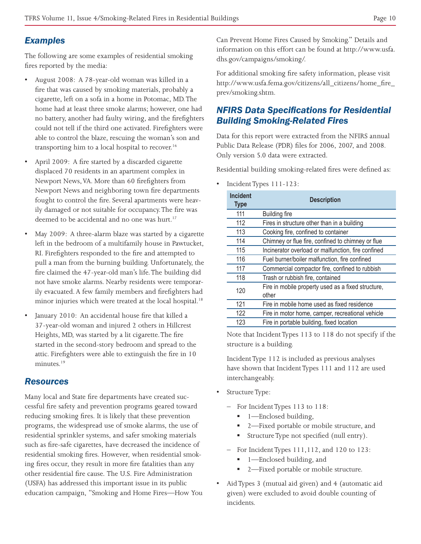# *Examples*

The following are some examples of residential smoking fires reported by the media:

- August 2008: A 78-year-old woman was killed in a fire that was caused by smoking materials, probably a cigarette, left on a sofa in a home in Potomac, MD. The home had at least three smoke alarms; however, one had no battery, another had faulty wiring, and the firefighters could not tell if the third one activated. Firefighters were able to control the blaze, rescuing the woman's son and transporting him to a local hospital to recover.<sup>16</sup>
- April 2009: A fire started by a discarded cigarette displaced 70 residents in an apartment complex in Newport News, VA. More than 60 firefighters from Newport News and neighboring town fire departments fought to control the fire. Several apartments were heavily damaged or not suitable for occupancy. The fire was deemed to be accidental and no one was hurt.<sup>17</sup>
- May 2009: A three-alarm blaze was started by a cigarette left in the bedroom of a multifamily house in Pawtucket, RI. Firefighters responded to the fire and attempted to pull a man from the burning building. Unfortunately, the fire claimed the 47-year-old man's life. The building did not have smoke alarms. Nearby residents were temporarily evacuated. A few family members and firefighters had minor injuries which were treated at the local hospital.<sup>18</sup>
- January 2010: An accidental house fire that killed a 37-year-old woman and injured 2 others in Hillcrest Heights, MD, was started by a lit cigarette. The fire started in the second-story bedroom and spread to the attic. Firefighters were able to extinguish the fire in 10 minutes<sup>19</sup>

# *Resources*

Many local and State fire departments have created successful fire safety and prevention programs geared toward reducing smoking fires. It is likely that these prevention programs, the widespread use of smoke alarms, the use of residential sprinkler systems, and safer smoking materials such as fire-safe cigarettes, have decreased the incidence of residential smoking fires. However, when residential smoking fires occur, they result in more fire fatalities than any other residential fire cause. The U.S. Fire Administration (USFA) has addressed this important issue in its public education campaign, "Smoking and Home Fires—How You Can Prevent Home Fires Caused by Smoking." Details and information on this effort can be found at http://www.usfa. dhs.gov/campaigns/smoking/.

For additional smoking fire safety information, please visit http://www.usfa.fema.gov/citizens/all\_citizens/home\_fire\_ prev/smoking.shtm.

# *NFIRS Data Specifications for Residential Building Smoking-Related Fires*

Data for this report were extracted from the NFIRS annual Public Data Release (PDR) files for 2006, 2007, and 2008. Only version 5.0 data were extracted.

Residential building smoking-related fires were defined as:

t Incident Types 111-123:

| <b>Incident</b><br><b>Type</b> | <b>Description</b>                                          |
|--------------------------------|-------------------------------------------------------------|
| 111                            | <b>Building fire</b>                                        |
| 112                            | Fires in structure other than in a building                 |
| 113                            | Cooking fire, confined to container                         |
| 114                            | Chimney or flue fire, confined to chimney or flue           |
| 115                            | Incinerator overload or malfunction, fire confined          |
| 116                            | Fuel burner/boiler malfunction, fire confined               |
| 117                            | Commercial compactor fire, confined to rubbish              |
| 118                            | Trash or rubbish fire, contained                            |
| 120                            | Fire in mobile property used as a fixed structure,<br>other |
| 121                            | Fire in mobile home used as fixed residence                 |
| 122                            | Fire in motor home, camper, recreational vehicle            |
| 123                            | Fire in portable building, fixed location                   |

Note that Incident Types 113 to 118 do not specify if the structure is a building.

Incident Type 112 is included as previous analyses have shown that Incident Types 111 and 112 are used interchangeably.

- Structure Type:
	- For Incident Types 113 to 118:
		- 1—Enclosed building,
		- 2-Fixed portable or mobile structure, and
		- Structure Type not specified (null entry).
	- For Incident Types 111,112, and 120 to 123:
		- 1—Enclosed building, and
		- 2—Fixed portable or mobile structure.
- Aid Types 3 (mutual aid given) and 4 (automatic aid given) were excluded to avoid double counting of incidents.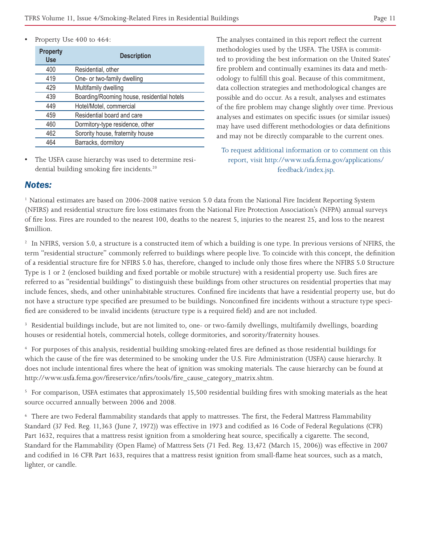Property Use 400 to 464:

| <b>Property</b><br><b>Use</b> | <b>Description</b>                         |
|-------------------------------|--------------------------------------------|
| 400                           | Residential, other                         |
| 419                           | One- or two-family dwelling                |
| 429                           | Multifamily dwelling                       |
| 439                           | Boarding/Rooming house, residential hotels |
| 449                           | Hotel/Motel, commercial                    |
| 459                           | Residential board and care                 |
| 460                           | Dormitory-type residence, other            |
| 462                           | Sorority house, fraternity house           |
| 464                           | Barracks, dormitory                        |

The USFA cause hierarchy was used to determine residential building smoking fire incidents.<sup>20</sup>

The analyses contained in this report reflect the current methodologies used by the USFA. The USFA is committed to providing the best information on the United States' fire problem and continually examines its data and methodology to fulfill this goal. Because of this commitment, data collection strategies and methodological changes are possible and do occur. As a result, analyses and estimates of the fire problem may change slightly over time. Previous analyses and estimates on specific issues (or similar issues) may have used different methodologies or data definitions and may not be directly comparable to the current ones.

To request additional information or to comment on this report, visit http://www.usfa.fema.gov/applications/ feedback/index.jsp.

#### *Notes:*

<sup>1</sup> National estimates are based on 2006-2008 native version 5.0 data from the National Fire Incident Reporting System (NFIRS) and residential structure fire loss estimates from the National Fire Protection Association's (NFPA) annual surveys of fire loss. Fires are rounded to the nearest 100, deaths to the nearest 5, injuries to the nearest 25, and loss to the nearest \$million.

<sup>2</sup> In NFIRS, version 5.0, a structure is a constructed item of which a building is one type. In previous versions of NFIRS, the term "residential structure" commonly referred to buildings where people live. To coincide with this concept, the definition of a residential structure fire for NFIRS 5.0 has, therefore, changed to include only those fires where the NFIRS 5.0 Structure Type is 1 or 2 (enclosed building and fixed portable or mobile structure) with a residential property use. Such fires are referred to as "residential buildings" to distinguish these buildings from other structures on residential properties that may include fences, sheds, and other uninhabitable structures. Confined fire incidents that have a residential property use, but do not have a structure type specified are presumed to be buildings. Nonconfined fire incidents without a structure type specified are considered to be invalid incidents (structure type is a required field) and are not included.

3 Residential buildings include, but are not limited to, one- or two-family dwellings, multifamily dwellings, boarding houses or residential hotels, commercial hotels, college dormitories, and sorority/fraternity houses.

4 For purposes of this analysis, residential building smoking-related fires are defined as those residential buildings for which the cause of the fire was determined to be smoking under the U.S. Fire Administration (USFA) cause hierarchy. It does not include intentional fires where the heat of ignition was smoking materials. The cause hierarchy can be found at http://www.usfa.fema.gov/fireservice/nfirs/tools/fire\_cause\_category\_matrix.shtm.

<sup>5</sup> For comparison, USFA estimates that approximately 15,500 residential building fires with smoking materials as the heat source occurred annually between 2006 and 2008.

6 There are two Federal flammability standards that apply to mattresses. The first, the Federal Mattress Flammability Standard (37 Fed. Reg. 11,363 (June 7, 1972)) was effective in 1973 and codified as 16 Code of Federal Regulations (CFR) Part 1632, requires that a mattress resist ignition from a smoldering heat source, specifically a cigarette. The second, Standard for the Flammability (Open Flame) of Mattress Sets (71 Fed. Reg. 13,472 (March 15, 2006)) was effective in 2007 and codified in 16 CFR Part 1633, requires that a mattress resist ignition from small-flame heat sources, such as a match, lighter, or candle.